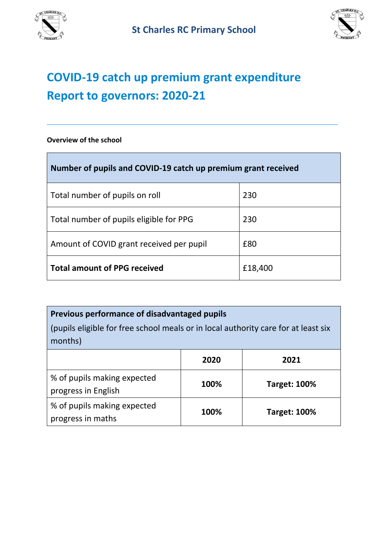



÷,

# **COVID-19 catch up premium grant expenditure Report to governors: 2020-21**

#### **Overview of the school**

| Number of pupils and COVID-19 catch up premium grant received |         |  |  |
|---------------------------------------------------------------|---------|--|--|
| Total number of pupils on roll                                | 230     |  |  |
| Total number of pupils eligible for PPG                       | 230     |  |  |
| Amount of COVID grant received per pupil                      | £80     |  |  |
| <b>Total amount of PPG received</b>                           | £18,400 |  |  |

### **Previous performance of disadvantaged pupils**

(pupils eligible for free school meals or in local authority care for at least six months)

|                                                    | 2020 | 2021                |
|----------------------------------------------------|------|---------------------|
| % of pupils making expected<br>progress in English | 100% | <b>Target: 100%</b> |
| % of pupils making expected<br>progress in maths   | 100% | <b>Target: 100%</b> |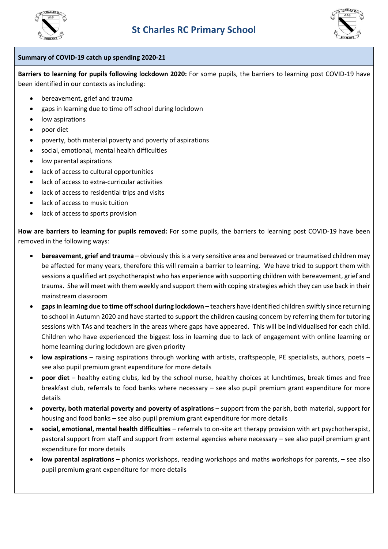



#### **Summary of COVID-19 catch up spending 2020-21**

**Barriers to learning for pupils following lockdown 2020:** For some pupils, the barriers to learning post COVID-19 have been identified in our contexts as including:

- bereavement, grief and trauma
- gaps in learning due to time off school during lockdown
- low aspirations
- poor diet
- poverty, both material poverty and poverty of aspirations
- social, emotional, mental health difficulties
- low parental aspirations
- lack of access to cultural opportunities
- lack of access to extra-curricular activities
- lack of access to residential trips and visits
- lack of access to music tuition
- lack of access to sports provision

**How are barriers to learning for pupils removed:** For some pupils, the barriers to learning post COVID-19 have been removed in the following ways:

- **bereavement, grief and trauma** obviously this is a very sensitive area and bereaved or traumatised children may be affected for many years, therefore this will remain a barrier to learning. We have tried to support them with sessions a qualified art psychotherapist who has experience with supporting children with bereavement, grief and trauma. She will meet with them weekly and support them with coping strategies which they can use back in their mainstream classroom
- **gaps in learning due to time off school during lockdown** teachers have identified children swiftly since returning to school in Autumn 2020 and have started to support the children causing concern by referring them for tutoring sessions with TAs and teachers in the areas where gaps have appeared. This will be individualised for each child. Children who have experienced the biggest loss in learning due to lack of engagement with online learning or home learning during lockdown are given priority
- **low aspirations** raising aspirations through working with artists, craftspeople, PE specialists, authors, poets see also pupil premium grant expenditure for more details
- **poor diet** healthy eating clubs, led by the school nurse, healthy choices at lunchtimes, break times and free breakfast club, referrals to food banks where necessary – see also pupil premium grant expenditure for more details
- **poverty, both material poverty and poverty of aspirations** support from the parish, both material, support for housing and food banks – see also pupil premium grant expenditure for more details
- **social, emotional, mental health difficulties** referrals to on-site art therapy provision with art psychotherapist, pastoral support from staff and support from external agencies where necessary – see also pupil premium grant expenditure for more details
- **low parental aspirations** phonics workshops, reading workshops and maths workshops for parents, see also pupil premium grant expenditure for more details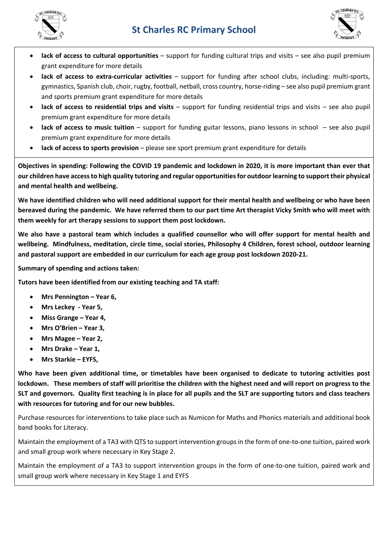



- **lack of access to cultural opportunities** support for funding cultural trips and visits see also pupil premium grant expenditure for more details
- **lack of access to extra-curricular activities** support for funding after school clubs, including: multi-sports, gymnastics, Spanish club, choir, rugby, football, netball, cross country, horse-riding – see also pupil premium grant and sports premium grant expenditure for more details
- **lack of access to residential trips and visits** support for funding residential trips and visits see also pupil premium grant expenditure for more details
- **lack of access to music tuition** support for funding guitar lessons, piano lessons in school see also pupil premium grant expenditure for more details
- **lack of access to sports provision** please see sport premium grant expenditure for details

**Objectives in spending: Following the COVID 19 pandemic and lockdown in 2020, it is more important than ever that our children have access to high quality tutoring and regular opportunities for outdoor learning to support their physical and mental health and wellbeing.**

**We have identified children who will need additional support for their mental health and wellbeing or who have been bereaved during the pandemic. We have referred them to our part time Art therapist Vicky Smith who will meet with them weekly for art therapy sessions to support them post lockdown.** 

**We also have a pastoral team which includes a qualified counsellor who will offer support for mental health and wellbeing. Mindfulness, meditation, circle time, social stories, Philosophy 4 Children, forest school, outdoor learning and pastoral support are embedded in our curriculum for each age group post lockdown 2020-21.** 

**Summary of spending and actions taken:**

**Tutors have been identified from our existing teaching and TA staff:** 

- **Mrs Pennington – Year 6,**
- **Mrs Leckey - Year 5,**
- **Miss Grange – Year 4,**
- **Mrs O'Brien – Year 3,**
- **Mrs Magee – Year 2,**
- **Mrs Drake – Year 1,**
- **Mrs Starkie – EYFS,**

**Who have been given additional time, or timetables have been organised to dedicate to tutoring activities post lockdown. These members of staff will prioritise the children with the highest need and will report on progress to the SLT and governors. Quality first teaching is in place for all pupils and the SLT are supporting tutors and class teachers with resources for tutoring and for our new bubbles.** 

Purchase resources for interventions to take place such as Numicon for Maths and Phonics materials and additional book band books for Literacy.

Maintain the employment of a TA3 with QTS to support intervention groups in the form of one-to-one tuition, paired work and small group work where necessary in Key Stage 2.

Maintain the employment of a TA3 to support intervention groups in the form of one-to-one tuition, paired work and small group work where necessary in Key Stage 1 and EYFS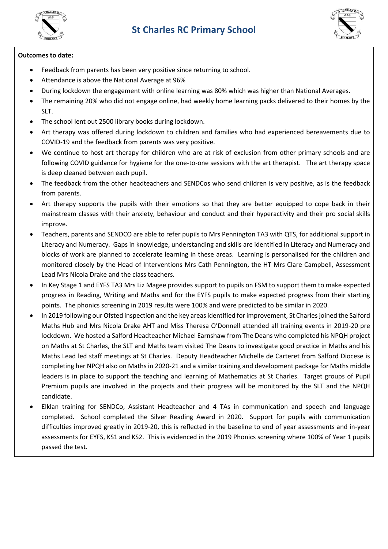



#### **Outcomes to date:**

- Feedback from parents has been very positive since returning to school.
- Attendance is above the National Average at 96%
- During lockdown the engagement with online learning was 80% which was higher than National Averages.
- The remaining 20% who did not engage online, had weekly home learning packs delivered to their homes by the SLT.
- The school lent out 2500 library books during lockdown.
- Art therapy was offered during lockdown to children and families who had experienced bereavements due to COVID-19 and the feedback from parents was very positive.
- We continue to host art therapy for children who are at risk of exclusion from other primary schools and are following COVID guidance for hygiene for the one-to-one sessions with the art therapist. The art therapy space is deep cleaned between each pupil.
- The feedback from the other headteachers and SENDCos who send children is very positive, as is the feedback from parents.
- Art therapy supports the pupils with their emotions so that they are better equipped to cope back in their mainstream classes with their anxiety, behaviour and conduct and their hyperactivity and their pro social skills improve.
- Teachers, parents and SENDCO are able to refer pupils to Mrs Pennington TA3 with QTS, for additional support in Literacy and Numeracy. Gaps in knowledge, understanding and skills are identified in Literacy and Numeracy and blocks of work are planned to accelerate learning in these areas. Learning is personalised for the children and monitored closely by the Head of Interventions Mrs Cath Pennington, the HT Mrs Clare Campbell, Assessment Lead Mrs Nicola Drake and the class teachers.
- In Key Stage 1 and EYFS TA3 Mrs Liz Magee provides support to pupils on FSM to support them to make expected progress in Reading, Writing and Maths and for the EYFS pupils to make expected progress from their starting points. The phonics screening in 2019 results were 100% and were predicted to be similar in 2020.
- In 2019 following our Ofsted inspection and the key areas identified for improvement, St Charles joined the Salford Maths Hub and Mrs Nicola Drake AHT and Miss Theresa O'Donnell attended all training events in 2019-20 pre lockdown. We hosted a Salford Headteacher Michael Earnshaw from The Deans who completed his NPQH project on Maths at St Charles, the SLT and Maths team visited The Deans to investigate good practice in Maths and his Maths Lead led staff meetings at St Charles. Deputy Headteacher Michelle de Carteret from Salford Diocese is completing her NPQH also on Maths in 2020-21 and a similar training and development package for Maths middle leaders is in place to support the teaching and learning of Mathematics at St Charles. Target groups of Pupil Premium pupils are involved in the projects and their progress will be monitored by the SLT and the NPQH candidate.
- Elklan training for SENDCo, Assistant Headteacher and 4 TAs in communication and speech and language completed. School completed the Silver Reading Award in 2020. Support for pupils with communication difficulties improved greatly in 2019-20, this is reflected in the baseline to end of year assessments and in-year assessments for EYFS, KS1 and KS2. This is evidenced in the 2019 Phonics screening where 100% of Year 1 pupils passed the test.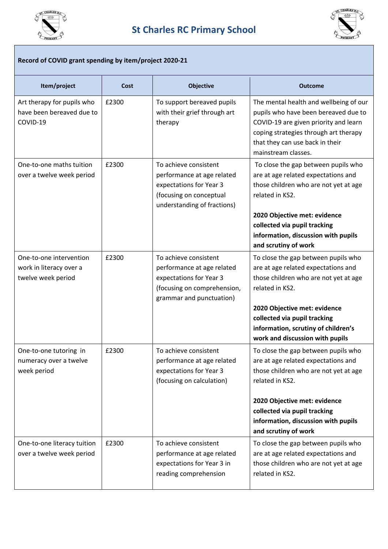



#### **Record of COVID grant spending by item/project 2020-21**

| Item/project                                                             | Cost  | <b>Objective</b>                                                                                                                          | <b>Outcome</b>                                                                                                                                                                                                                                                                   |
|--------------------------------------------------------------------------|-------|-------------------------------------------------------------------------------------------------------------------------------------------|----------------------------------------------------------------------------------------------------------------------------------------------------------------------------------------------------------------------------------------------------------------------------------|
| Art therapy for pupils who<br>have been bereaved due to<br>COVID-19      | £2300 | To support bereaved pupils<br>with their grief through art<br>therapy                                                                     | The mental health and wellbeing of our<br>pupils who have been bereaved due to<br>COVID-19 are given priority and learn<br>coping strategies through art therapy<br>that they can use back in their<br>mainstream classes.                                                       |
| One-to-one maths tuition<br>over a twelve week period                    | £2300 | To achieve consistent<br>performance at age related<br>expectations for Year 3<br>(focusing on conceptual<br>understanding of fractions)  | To close the gap between pupils who<br>are at age related expectations and<br>those children who are not yet at age<br>related in KS2.<br>2020 Objective met: evidence<br>collected via pupil tracking<br>information, discussion with pupils<br>and scrutiny of work            |
| One-to-one intervention<br>work in literacy over a<br>twelve week period | £2300 | To achieve consistent<br>performance at age related<br>expectations for Year 3<br>(focusing on comprehension,<br>grammar and punctuation) | To close the gap between pupils who<br>are at age related expectations and<br>those children who are not yet at age<br>related in KS2.<br>2020 Objective met: evidence<br>collected via pupil tracking<br>information, scrutiny of children's<br>work and discussion with pupils |
| One-to-one tutoring in<br>numeracy over a twelve<br>week period          | £2300 | To achieve consistent<br>performance at age related<br>expectations for Year 3<br>(focusing on calculation)                               | To close the gap between pupils who<br>are at age related expectations and<br>those children who are not yet at age<br>related in KS2.<br>2020 Objective met: evidence<br>collected via pupil tracking<br>information, discussion with pupils<br>and scrutiny of work            |
| One-to-one literacy tuition<br>over a twelve week period                 | £2300 | To achieve consistent<br>performance at age related<br>expectations for Year 3 in<br>reading comprehension                                | To close the gap between pupils who<br>are at age related expectations and<br>those children who are not yet at age<br>related in KS2.                                                                                                                                           |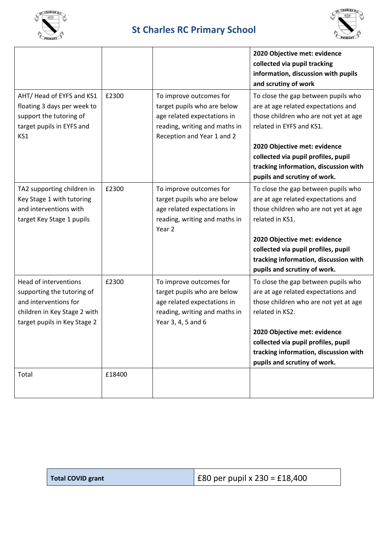

## **St Charles RC Primary School**



| AHT/Head of EYFS and KS1                                                                                                                     | £2300  | To improve outcomes for                                                                                                                      | 2020 Objective met: evidence<br>collected via pupil tracking<br>information, discussion with pupils<br>and scrutiny of work<br>To close the gap between pupils who                                                                                                                     |
|----------------------------------------------------------------------------------------------------------------------------------------------|--------|----------------------------------------------------------------------------------------------------------------------------------------------|----------------------------------------------------------------------------------------------------------------------------------------------------------------------------------------------------------------------------------------------------------------------------------------|
| floating 3 days per week to<br>support the tutoring of<br>target pupils in EYFS and<br>KS1                                                   |        | target pupils who are below<br>age related expectations in<br>reading, writing and maths in<br>Reception and Year 1 and 2                    | are at age related expectations and<br>those children who are not yet at age<br>related in EYFS and KS1.                                                                                                                                                                               |
|                                                                                                                                              |        |                                                                                                                                              | 2020 Objective met: evidence<br>collected via pupil profiles, pupil<br>tracking information, discussion with<br>pupils and scrutiny of work.                                                                                                                                           |
| TA2 supporting children in<br>Key Stage 1 with tutoring<br>and interventions with<br>target Key Stage 1 pupils                               | £2300  | To improve outcomes for<br>target pupils who are below<br>age related expectations in<br>reading, writing and maths in<br>Year 2             | To close the gap between pupils who<br>are at age related expectations and<br>those children who are not yet at age<br>related in KS1.<br>2020 Objective met: evidence<br>collected via pupil profiles, pupil<br>tracking information, discussion with<br>pupils and scrutiny of work. |
| Head of interventions<br>supporting the tutoring of<br>and interventions for<br>children in Key Stage 2 with<br>target pupils in Key Stage 2 | £2300  | To improve outcomes for<br>target pupils who are below<br>age related expectations in<br>reading, writing and maths in<br>Year 3, 4, 5 and 6 | To close the gap between pupils who<br>are at age related expectations and<br>those children who are not yet at age<br>related in KS2.<br>2020 Objective met: evidence<br>collected via pupil profiles, pupil<br>tracking information, discussion with<br>pupils and scrutiny of work. |
| Total                                                                                                                                        | £18400 |                                                                                                                                              |                                                                                                                                                                                                                                                                                        |